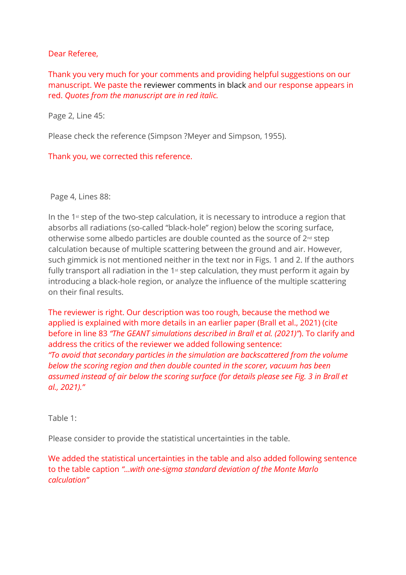#### Dear Referee,

Thank you very much for your comments and providing helpful suggestions on our manuscript. We paste the reviewer comments in black and our response appears in red. *Quotes from the manuscript are in red italic.*

Page 2, Line 45:

Please check the reference (Simpson ?Meyer and Simpson, 1955).

Thank you, we corrected this reference.

Page 4, Lines 88:

In the  $1<sup>st</sup>$  step of the two-step calculation, it is necessary to introduce a region that absorbs all radiations (so-called "black-hole" region) below the scoring surface, otherwise some albedo particles are double counted as the source of 2nd step calculation because of multiple scattering between the ground and air. However, such gimmick is not mentioned neither in the text nor in Figs. 1 and 2. If the authors fully transport all radiation in the  $1<sup>st</sup>$  step calculation, they must perform it again by introducing a black-hole region, or analyze the influence of the multiple scattering on their final results.

The reviewer is right. Our description was too rough, because the method we applied is explained with more details in an earlier paper (Brall et al., 2021) (cite before in line 83 *"The GEANT simulations described in Brall et al. (2021)"*). To clarify and address the critics of the reviewer we added following sentence: *"To avoid that secondary particles in the simulation are backscattered from the volume below the scoring region and then double counted in the scorer, vacuum has been assumed instead of air below the scoring surface (for details please see Fig. 3 in Brall et al., 2021)."*

Table 1:

Please consider to provide the statistical uncertainties in the table.

We added the statistical uncertainties in the table and also added following sentence to the table caption *"…with one-sigma standard deviation of the Monte Marlo calculation"*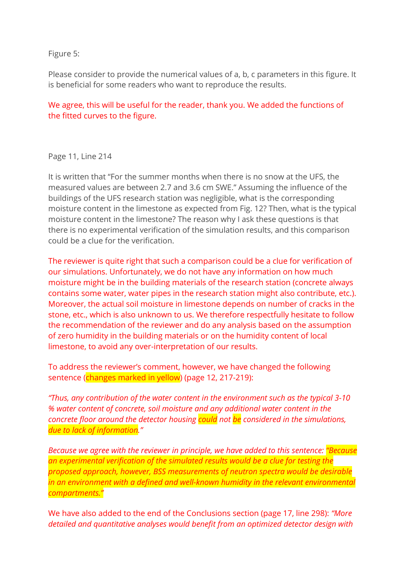Figure 5:

Please consider to provide the numerical values of a, b, c parameters in this figure. It is beneficial for some readers who want to reproduce the results.

We agree, this will be useful for the reader, thank you. We added the functions of the fitted curves to the figure.

Page 11, Line 214

It is written that "For the summer months when there is no snow at the UFS, the measured values are between 2.7 and 3.6 cm SWE." Assuming the influence of the buildings of the UFS research station was negligible, what is the corresponding moisture content in the limestone as expected from Fig. 12? Then, what is the typical moisture content in the limestone? The reason why I ask these questions is that there is no experimental verification of the simulation results, and this comparison could be a clue for the verification.

The reviewer is quite right that such a comparison could be a clue for verification of our simulations. Unfortunately, we do not have any information on how much moisture might be in the building materials of the research station (concrete always contains some water, water pipes in the research station might also contribute, etc.). Moreover, the actual soil moisture in limestone depends on number of cracks in the stone, etc., which is also unknown to us. We therefore respectfully hesitate to follow the recommendation of the reviewer and do any analysis based on the assumption of zero humidity in the building materials or on the humidity content of local limestone, to avoid any over-interpretation of our results.

To address the reviewer's comment, however, we have changed the following sentence (changes marked in yellow) (page 12, 217-219):

*"Thus, any contribution of the water content in the environment such as the typical 3-10 % water content of concrete, soil moisture and any additional water content in the concrete floor around the detector housing could not be considered in the simulations, due to lack of information."*

*Because we agree with the reviewer in principle, we have added to this sentence: "Because an experimental verification of the simulated results would be a clue for testing the proposed approach, however, BSS measurements of neutron spectra would be desirable in an environment with a defined and well-known humidity in the relevant environmental compartments."*

We have also added to the end of the Conclusions section (page 17, line 298): *"More detailed and quantitative analyses would benefit from an optimized detector design with*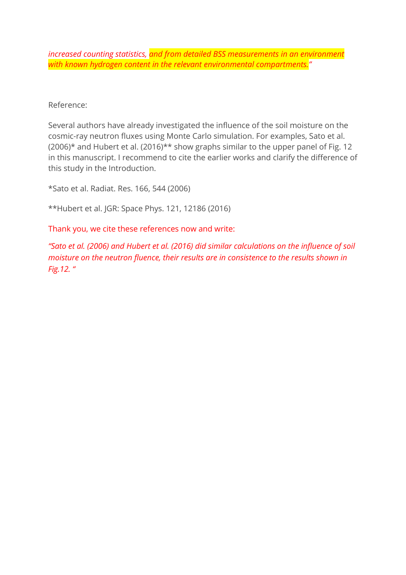*increased counting statistics, and from detailed BSS measurements in an environment with known hydrogen content in the relevant environmental compartments."*

Reference:

Several authors have already investigated the influence of the soil moisture on the cosmic-ray neutron fluxes using Monte Carlo simulation. For examples, Sato et al.  $(2006)^*$  and Hubert et al.  $(2016)^{**}$  show graphs similar to the upper panel of Fig. 12 in this manuscript. I recommend to cite the earlier works and clarify the difference of this study in the Introduction.

\*Sato et al. Radiat. Res. 166, 544 (2006)

\*\*Hubert et al. JGR: Space Phys. 121, 12186 (2016)

Thank you, we cite these references now and write:

*"Sato et al. (2006) and Hubert et al. (2016) did similar calculations on the influence of soil moisture on the neutron fluence, their results are in consistence to the results shown in Fig.12. "*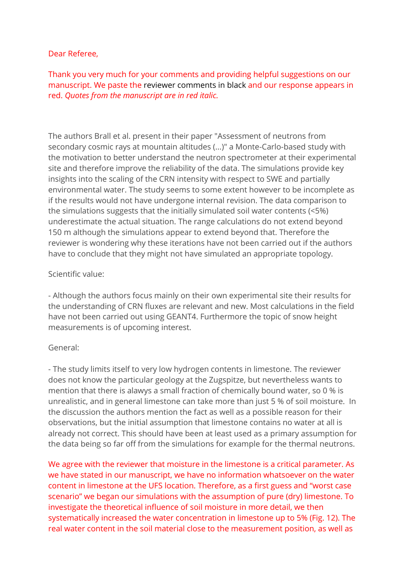#### Dear Referee,

Thank you very much for your comments and providing helpful suggestions on our manuscript. We paste the reviewer comments in black and our response appears in red. *Quotes from the manuscript are in red italic.*

The authors Brall et al. present in their paper "Assessment of neutrons from secondary cosmic rays at mountain altitudes (...)" a Monte-Carlo-based study with the motivation to better understand the neutron spectrometer at their experimental site and therefore improve the reliability of the data. The simulations provide key insights into the scaling of the CRN intensity with respect to SWE and partially environmental water. The study seems to some extent however to be incomplete as if the results would not have undergone internal revision. The data comparison to the simulations suggests that the initially simulated soil water contents (<5%) underestimate the actual situation. The range calculations do not extend beyond 150 m although the simulations appear to extend beyond that. Therefore the reviewer is wondering why these iterations have not been carried out if the authors have to conclude that they might not have simulated an appropriate topology.

#### Scientific value:

- Although the authors focus mainly on their own experimental site their results for the understanding of CRN fluxes are relevant and new. Most calculations in the field have not been carried out using GEANT4. Furthermore the topic of snow height measurements is of upcoming interest.

### General:

- The study limits itself to very low hydrogen contents in limestone. The reviewer does not know the particular geology at the Zugspitze, but nevertheless wants to mention that there is alawys a small fraction of chemically bound water, so 0 % is unrealistic, and in general limestone can take more than just 5 % of soil moisture. In the discussion the authors mention the fact as well as a possible reason for their observations, but the initial assumption that limestone contains no water at all is already not correct. This should have been at least used as a primary assumption for the data being so far off from the simulations for example for the thermal neutrons.

We agree with the reviewer that moisture in the limestone is a critical parameter. As we have stated in our manuscript, we have no information whatsoever on the water content in limestone at the UFS location. Therefore, as a first guess and "worst case scenario" we began our simulations with the assumption of pure (dry) limestone. To investigate the theoretical influence of soil moisture in more detail, we then systematically increased the water concentration in limestone up to 5% (Fig. 12). The real water content in the soil material close to the measurement position, as well as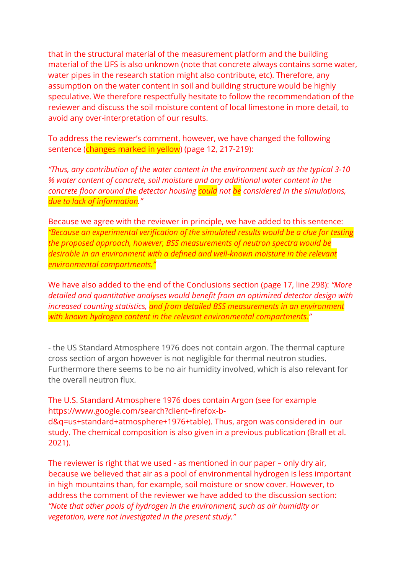that in the structural material of the measurement platform and the building material of the UFS is also unknown (note that concrete always contains some water, water pipes in the research station might also contribute, etc). Therefore, any assumption on the water content in soil and building structure would be highly speculative. We therefore respectfully hesitate to follow the recommendation of the reviewer and discuss the soil moisture content of local limestone in more detail, to avoid any over-interpretation of our results.

To address the reviewer's comment, however, we have changed the following sentence (changes marked in yellow) (page 12, 217-219):

*"Thus, any contribution of the water content in the environment such as the typical 3-10 % water content of concrete, soil moisture and any additional water content in the concrete floor around the detector housing could not be considered in the simulations, due to lack of information."*

Because we agree with the reviewer in principle, we have added to this sentence: *"Because an experimental verification of the simulated results would be a clue for testing the proposed approach, however, BSS measurements of neutron spectra would be desirable in an environment with a defined and well-known moisture in the relevant environmental compartments."*

We have also added to the end of the Conclusions section (page 17, line 298): *"More detailed and quantitative analyses would benefit from an optimized detector design with increased counting statistics, and from detailed BSS measurements in an environment with known hydrogen content in the relevant environmental compartments."*

- the US Standard Atmosphere 1976 does not contain argon. The thermal capture cross section of argon however is not negligible for thermal neutron studies. Furthermore there seems to be no air humidity involved, which is also relevant for the overall neutron flux.

The U.S. Standard Atmosphere 1976 does contain Argon (see for example https://www.google.com/search?client=firefox-bd&q=us+standard+atmosphere+1976+table). Thus, argon was considered in our study. The chemical composition is also given in a previous publication (Brall et al.

2021).

The reviewer is right that we used - as mentioned in our paper – only dry air, because we believed that air as a pool of environmental hydrogen is less important in high mountains than, for example, soil moisture or snow cover. However, to address the comment of the reviewer we have added to the discussion section: *"Note that other pools of hydrogen in the environment, such as air humidity or vegetation, were not investigated in the present study."*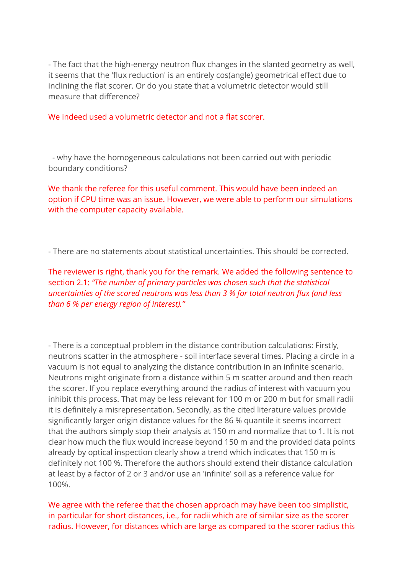- The fact that the high-energy neutron flux changes in the slanted geometry as well, it seems that the 'flux reduction' is an entirely cos(angle) geometrical effect due to inclining the flat scorer. Or do you state that a volumetric detector would still measure that difference?

We indeed used a volumetric detector and not a flat scorer.

- why have the homogeneous calculations not been carried out with periodic boundary conditions?

We thank the referee for this useful comment. This would have been indeed an option if CPU time was an issue. However, we were able to perform our simulations with the computer capacity available.

- There are no statements about statistical uncertainties. This should be corrected.

The reviewer is right, thank you for the remark. We added the following sentence to section 2.1: *"The number of primary particles was chosen such that the statistical uncertainties of the scored neutrons was less than 3 % for total neutron flux (and less than 6 % per energy region of interest)."*

- There is a conceptual problem in the distance contribution calculations: Firstly, neutrons scatter in the atmosphere - soil interface several times. Placing a circle in a vacuum is not equal to analyzing the distance contribution in an infinite scenario. Neutrons might originate from a distance within 5 m scatter around and then reach the scorer. If you replace everything around the radius of interest with vacuum you inhibit this process. That may be less relevant for 100 m or 200 m but for small radii it is definitely a misrepresentation. Secondly, as the cited literature values provide significantly larger origin distance values for the 86 % quantile it seems incorrect that the authors simply stop their analysis at 150 m and normalize that to 1. It is not clear how much the flux would increase beyond 150 m and the provided data points already by optical inspection clearly show a trend which indicates that 150 m is definitely not 100 %. Therefore the authors should extend their distance calculation at least by a factor of 2 or 3 and/or use an 'infinite' soil as a reference value for 100%.

We agree with the referee that the chosen approach may have been too simplistic, in particular for short distances, i.e., for radii which are of similar size as the scorer radius. However, for distances which are large as compared to the scorer radius this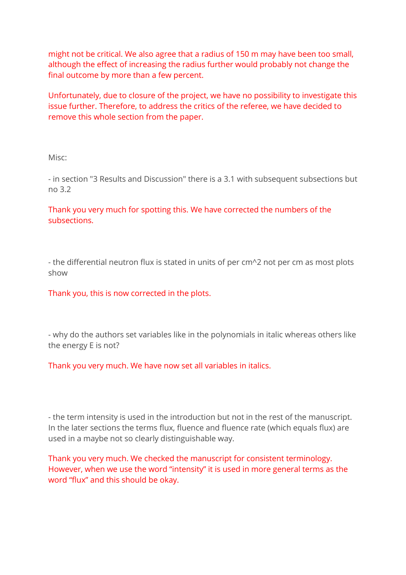might not be critical. We also agree that a radius of 150 m may have been too small, although the effect of increasing the radius further would probably not change the final outcome by more than a few percent.

Unfortunately, due to closure of the project, we have no possibility to investigate this issue further. Therefore, to address the critics of the referee, we have decided to remove this whole section from the paper.

Misc:

- in section "3 Results and Discussion" there is a 3.1 with subsequent subsections but no 3.2

Thank you very much for spotting this. We have corrected the numbers of the subsections.

- the differential neutron flux is stated in units of per cm^2 not per cm as most plots show

Thank you, this is now corrected in the plots.

- why do the authors set variables like in the polynomials in italic whereas others like the energy E is not?

Thank you very much. We have now set all variables in italics.

- the term intensity is used in the introduction but not in the rest of the manuscript. In the later sections the terms flux, fluence and fluence rate (which equals flux) are used in a maybe not so clearly distinguishable way.

Thank you very much. We checked the manuscript for consistent terminology. However, when we use the word "intensity" it is used in more general terms as the word "flux" and this should be okay.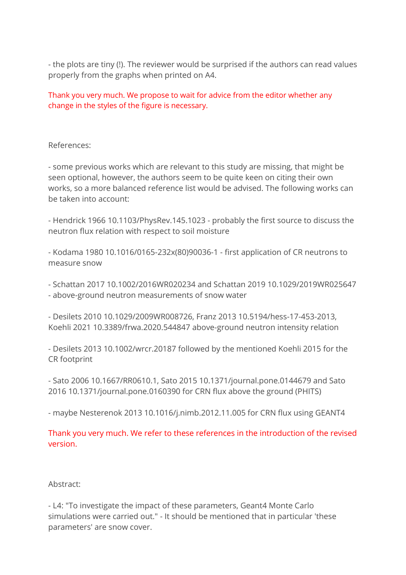- the plots are tiny (!). The reviewer would be surprised if the authors can read values properly from the graphs when printed on A4.

Thank you very much. We propose to wait for advice from the editor whether any change in the styles of the figure is necessary.

References:

- some previous works which are relevant to this study are missing, that might be seen optional, however, the authors seem to be quite keen on citing their own works, so a more balanced reference list would be advised. The following works can be taken into account:

- Hendrick 1966 10.1103/PhysRev.145.1023 - probably the first source to discuss the neutron flux relation with respect to soil moisture

- Kodama 1980 10.1016/0165-232x(80)90036-1 - first application of CR neutrons to measure snow

- Schattan 2017 10.1002/2016WR020234 and Schattan 2019 10.1029/2019WR025647 - above-ground neutron measurements of snow water

- Desilets 2010 10.1029/2009WR008726, Franz 2013 10.5194/hess-17-453-2013, Koehli 2021 10.3389/frwa.2020.544847 above-ground neutron intensity relation

- Desilets 2013 10.1002/wrcr.20187 followed by the mentioned Koehli 2015 for the CR footprint

- Sato 2006 10.1667/RR0610.1, Sato 2015 10.1371/journal.pone.0144679 and Sato 2016 10.1371/journal.pone.0160390 for CRN flux above the ground (PHITS)

- maybe Nesterenok 2013 10.1016/j.nimb.2012.11.005 for CRN flux using GEANT4

Thank you very much. We refer to these references in the introduction of the revised version.

# Abstract:

- L4: "To investigate the impact of these parameters, Geant4 Monte Carlo simulations were carried out." - It should be mentioned that in particular 'these parameters' are snow cover.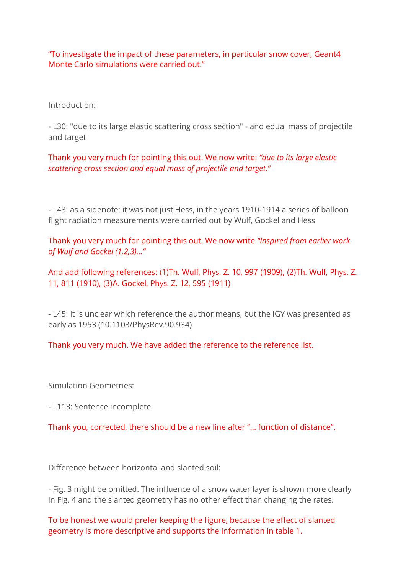"To investigate the impact of these parameters, in particular snow cover, Geant4 Monte Carlo simulations were carried out."

Introduction:

- L30: "due to its large elastic scattering cross section" - and equal mass of projectile and target

Thank you very much for pointing this out. We now write: *"due to its large elastic scattering cross section and equal mass of projectile and target."*

- L43: as a sidenote: it was not just Hess, in the years 1910-1914 a series of balloon flight radiation measurements were carried out by Wulf, Gockel and Hess

Thank you very much for pointing this out. We now write *"Inspired from earlier work of Wulf and Gockel (1,2,3)…"*

And add following references: (1)Th. Wulf, Phys. Z. 10, 997 (1909), (2)Th. Wulf, Phys. Z. 11, 811 (1910), (3)A. Gockel, Phys. Z. 12, 595 (1911)

- L45: It is unclear which reference the author means, but the IGY was presented as early as 1953 (10.1103/PhysRev.90.934)

Thank you very much. We have added the reference to the reference list.

Simulation Geometries:

- L113: Sentence incomplete

Thank you, corrected, there should be a new line after "… function of distance".

Difference between horizontal and slanted soil:

- Fig. 3 might be omitted. The influence of a snow water layer is shown more clearly in Fig. 4 and the slanted geometry has no other effect than changing the rates.

To be honest we would prefer keeping the figure, because the effect of slanted geometry is more descriptive and supports the information in table 1.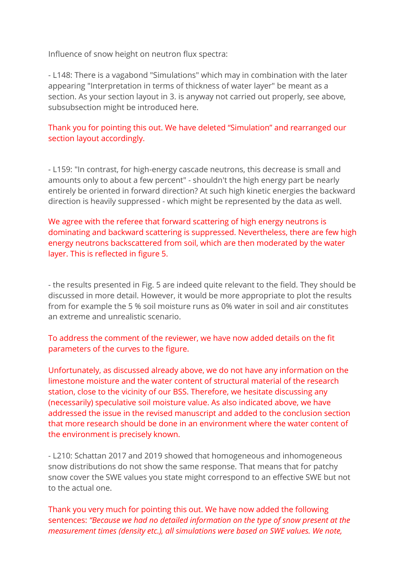Influence of snow height on neutron flux spectra:

- L148: There is a vagabond "Simulations" which may in combination with the later appearing "Interpretation in terms of thickness of water layer" be meant as a section. As your section layout in 3. is anyway not carried out properly, see above, subsubsection might be introduced here.

# Thank you for pointing this out. We have deleted "Simulation" and rearranged our section layout accordingly.

- L159: "In contrast, for high-energy cascade neutrons, this decrease is small and amounts only to about a few percent" - shouldn't the high energy part be nearly entirely be oriented in forward direction? At such high kinetic energies the backward direction is heavily suppressed - which might be represented by the data as well.

We agree with the referee that forward scattering of high energy neutrons is dominating and backward scattering is suppressed. Nevertheless, there are few high energy neutrons backscattered from soil, which are then moderated by the water layer. This is reflected in figure 5.

- the results presented in Fig. 5 are indeed quite relevant to the field. They should be discussed in more detail. However, it would be more appropriate to plot the results from for example the 5 % soil moisture runs as 0% water in soil and air constitutes an extreme and unrealistic scenario.

To address the comment of the reviewer, we have now added details on the fit parameters of the curves to the figure.

Unfortunately, as discussed already above, we do not have any information on the limestone moisture and the water content of structural material of the research station, close to the vicinity of our BSS. Therefore, we hesitate discussing any (necessarily) speculative soil moisture value. As also indicated above, we have addressed the issue in the revised manuscript and added to the conclusion section that more research should be done in an environment where the water content of the environment is precisely known.

- L210: Schattan 2017 and 2019 showed that homogeneous and inhomogeneous snow distributions do not show the same response. That means that for patchy snow cover the SWE values you state might correspond to an effective SWE but not to the actual one.

Thank you very much for pointing this out. We have now added the following sentences: *"Because we had no detailed information on the type of snow present at the measurement times (density etc.), all simulations were based on SWE values. We note,*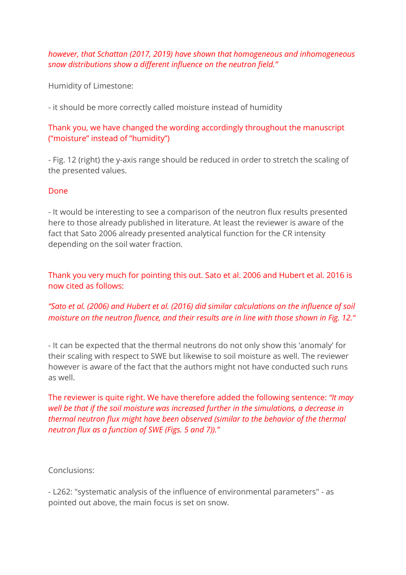### *however, that Schattan (2017, 2019) have shown that homogeneous and inhomogeneous snow distributions show a different influence on the neutron field."*

Humidity of Limestone:

- it should be more correctly called moisture instead of humidity

### Thank you, we have changed the wording accordingly throughout the manuscript ("moisture" instead of "humidity")

- Fig. 12 (right) the y-axis range should be reduced in order to stretch the scaling of the presented values.

#### Done

- It would be interesting to see a comparison of the neutron flux results presented here to those already published in literature. At least the reviewer is aware of the fact that Sato 2006 already presented analytical function for the CR intensity depending on the soil water fraction.

Thank you very much for pointing this out. Sato et al. 2006 and Hubert et al. 2016 is now cited as follows:

# *"Sato et al. (2006) and Hubert et al. (2016) did similar calculations on the influence of soil moisture on the neutron fluence, and their results are in line with those shown in Fig. 12."*

- It can be expected that the thermal neutrons do not only show this 'anomaly' for their scaling with respect to SWE but likewise to soil moisture as well. The reviewer however is aware of the fact that the authors might not have conducted such runs as well.

The reviewer is quite right. We have therefore added the following sentence: *"It may well be that if the soil moisture was increased further in the simulations, a decrease in thermal neutron flux might have been observed (similar to the behavior of the thermal neutron flux as a function of SWE (Figs. 5 and 7))."*

Conclusions:

- L262: "systematic analysis of the influence of environmental parameters" - as pointed out above, the main focus is set on snow.